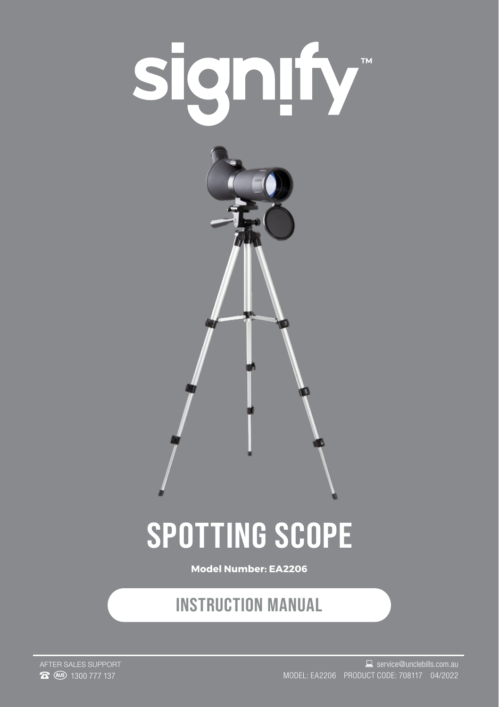



# **SPOTTING SCOPE**

**Model Number: EA2206**

### **INSTRUCTION MANUAL**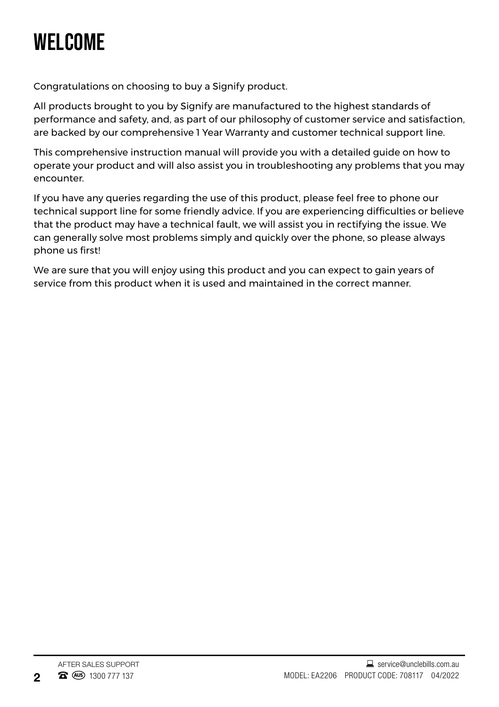## **WELCOME**

Congratulations on choosing to buy a Signify product.

All products brought to you by Signify are manufactured to the highest standards of performance and safety, and, as part of our philosophy of customer service and satisfaction, are backed by our comprehensive 1 Year Warranty and customer technical support line.

This comprehensive instruction manual will provide you with a detailed guide on how to operate your product and will also assist you in troubleshooting any problems that you may encounter.

If you have any queries regarding the use of this product, please feel free to phone our technical support line for some friendly advice. If you are experiencing difficulties or believe that the product may have a technical fault, we will assist you in rectifying the issue. We can generally solve most problems simply and quickly over the phone, so please always phone us first!

We are sure that you will enjoy using this product and you can expect to gain years of service from this product when it is used and maintained in the correct manner.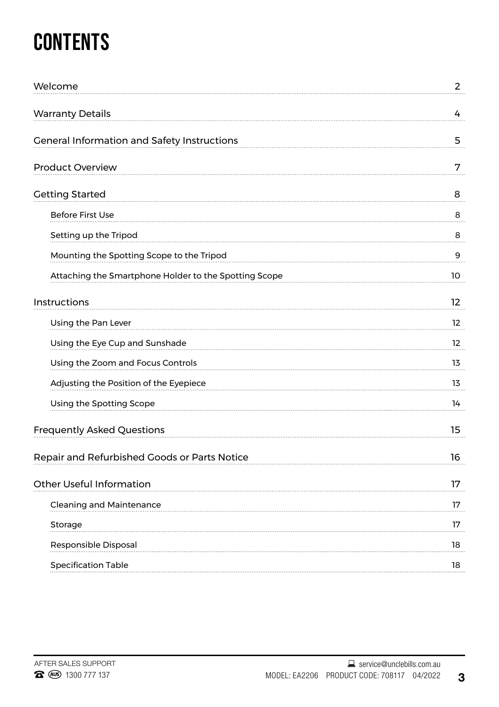# **CONTENTS**

| Welcome                                               | $\overline{2}$    |
|-------------------------------------------------------|-------------------|
| <b>Warranty Details</b>                               | 4                 |
| General Information and Safety Instructions           | 5                 |
| Product Overview                                      | 7                 |
| <b>Getting Started</b>                                | 8                 |
| <b>Before First Use</b>                               | 8                 |
| Setting up the Tripod                                 | 8                 |
| Mounting the Spotting Scope to the Tripod             | 9                 |
| Attaching the Smartphone Holder to the Spotting Scope | 10                |
| Instructions                                          | 12                |
| Using the Pan Lever                                   | $12 \overline{ }$ |
| Using the Eye Cup and Sunshade                        | 12                |
| Using the Zoom and Focus Controls                     | 13                |
| Adjusting the Position of the Eyepiece                | 13                |
| Using the Spotting Scope                              | 14                |
| Frequently Asked Questions                            | 15                |
| Repair and Refurbished Goods or Parts Notice          | 16                |
| Other Useful Information                              | 17                |
| <b>Cleaning and Maintenance</b>                       | 17                |
| Storage                                               | 17                |
| Responsible Disposal                                  | 18                |
| <b>Specification Table</b>                            | 18                |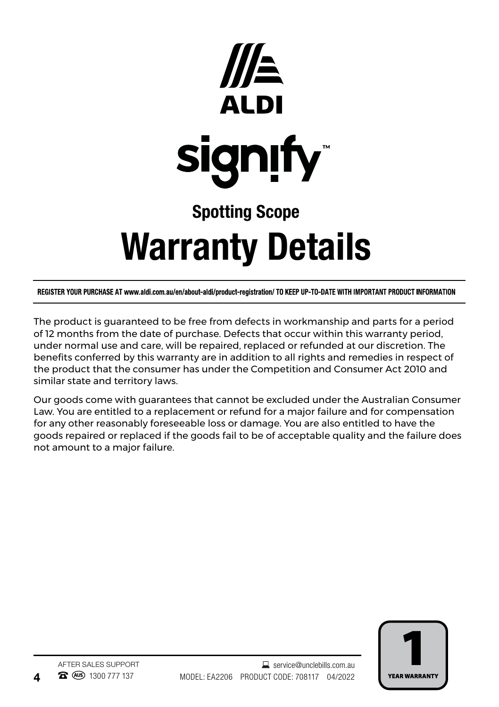

# Warranty Details

REGISTER YOUR PURCHASE AT www.aldi.com.au/en/about-aldi/product-registration/ TO KEEP UP-TO-DATE WITH IMPORTANT PRODUCT INFORMATION

The product is guaranteed to be free from defects in workmanship and parts for a period of 12 months from the date of purchase. Defects that occur within this warranty period, under normal use and care, will be repaired, replaced or refunded at our discretion. The benefits conferred by this warranty are in addition to all rights and remedies in respect of the product that the consumer has under the Competition and Consumer Act 2010 and similar state and territory laws.

Our goods come with guarantees that cannot be excluded under the Australian Consumer Law. You are entitled to a replacement or refund for a major failure and for compensation for any other reasonably foreseeable loss or damage. You are also entitled to have the goods repaired or replaced if the goods fail to be of acceptable quality and the failure does not amount to a major failure.

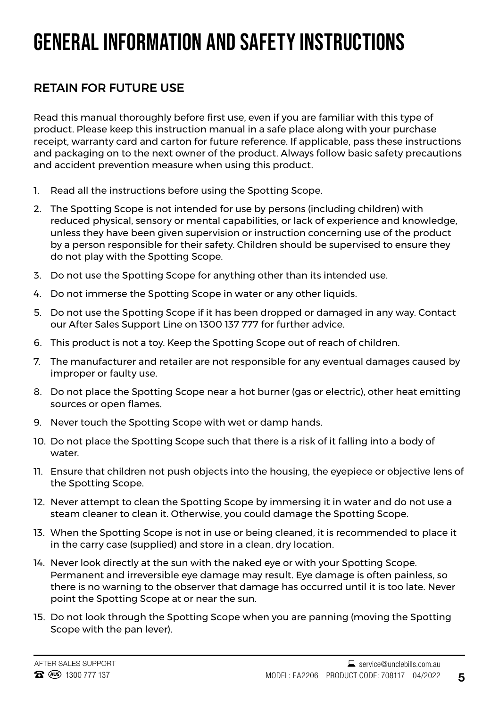### **GENERAL INFORMATION AND SAFETY INSTRUCTIONS**

#### RETAIN FOR FUTURE USE

Read this manual thoroughly before first use, even if you are familiar with this type of product. Please keep this instruction manual in a safe place along with your purchase receipt, warranty card and carton for future reference. If applicable, pass these instructions and packaging on to the next owner of the product. Always follow basic safety precautions and accident prevention measure when using this product.

- 1. Read all the instructions before using the Spotting Scope.
- 2. The Spotting Scope is not intended for use by persons (including children) with reduced physical, sensory or mental capabilities, or lack of experience and knowledge, unless they have been given supervision or instruction concerning use of the product by a person responsible for their safety. Children should be supervised to ensure they do not play with the Spotting Scope.
- 3. Do not use the Spotting Scope for anything other than its intended use.
- 4. Do not immerse the Spotting Scope in water or any other liquids.
- 5. Do not use the Spotting Scope if it has been dropped or damaged in any way. Contact our After Sales Support Line on 1300 137 777 for further advice.
- 6. This product is not a toy. Keep the Spotting Scope out of reach of children.
- 7. The manufacturer and retailer are not responsible for any eventual damages caused by improper or faulty use.
- 8. Do not place the Spotting Scope near a hot burner (gas or electric), other heat emitting sources or open flames.
- 9. Never touch the Spotting Scope with wet or damp hands.
- 10. Do not place the Spotting Scope such that there is a risk of it falling into a body of water.
- 11. Ensure that children not push objects into the housing, the eyepiece or objective lens of the Spotting Scope.
- 12. Never attempt to clean the Spotting Scope by immersing it in water and do not use a steam cleaner to clean it. Otherwise, you could damage the Spotting Scope.
- 13. When the Spotting Scope is not in use or being cleaned, it is recommended to place it in the carry case (supplied) and store in a clean, dry location.
- 14. Never look directly at the sun with the naked eye or with your Spotting Scope. Permanent and irreversible eye damage may result. Eye damage is often painless, so there is no warning to the observer that damage has occurred until it is too late. Never point the Spotting Scope at or near the sun.
- 15. Do not look through the Spotting Scope when you are panning (moving the Spotting Scope with the pan lever).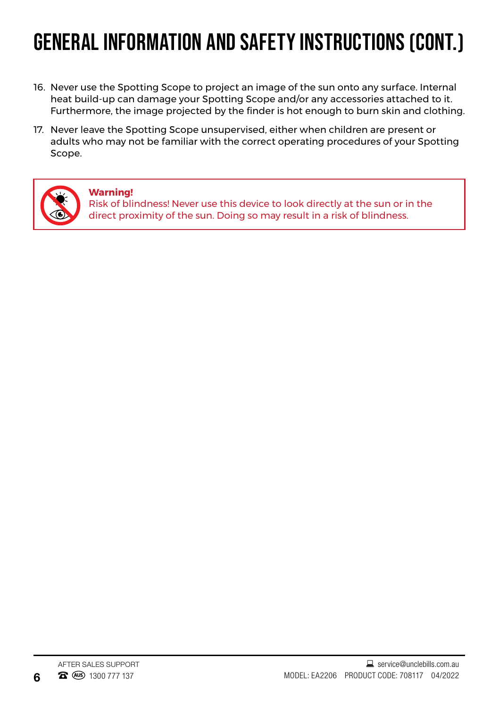## **GENERAL INFORMATION AND SAFETY INSTRUCTIONS (CONT.)**

- 16. Never use the Spotting Scope to project an image of the sun onto any surface. Internal heat build-up can damage your Spotting Scope and/or any accessories attached to it. Furthermore, the image projected by the finder is hot enough to burn skin and clothing.
- 17. Never leave the Spotting Scope unsupervised, either when children are present or adults who may not be familiar with the correct operating procedures of your Spotting Scope.



#### **Warning!**

Risk of blindness! Never use this device to look directly at the sun or in the direct proximity of the sun. Doing so may result in a risk of blindness.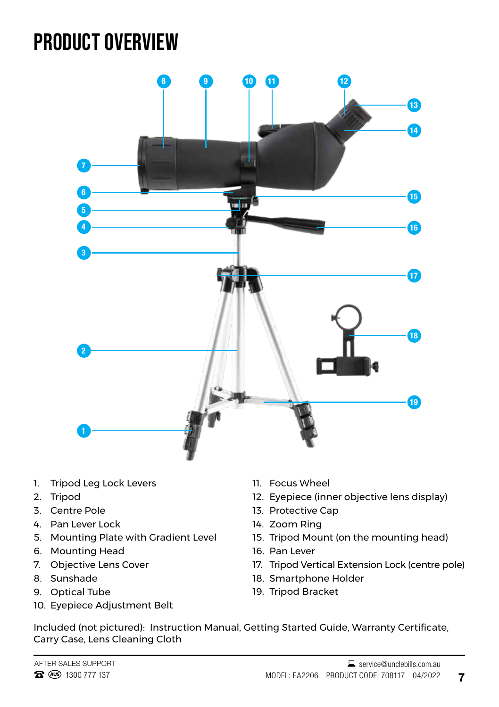### **PRODUCT OVERVIEW**



- 1. Tripod Leg Lock Levers
- 2. Tripod
- 3. Centre Pole
- 4. Pan Lever Lock
- 5. Mounting Plate with Gradient Level
- 6. Mounting Head
- 7. Objective Lens Cover
- 8. Sunshade
- 9. Optical Tube
- 10. Eyepiece Adjustment Belt
- 11. Focus Wheel
- 12. Eyepiece (inner objective lens display)
- 13. Protective Cap
- 14. Zoom Ring
- 15. Tripod Mount (on the mounting head)
- 16. Pan Lever
- 17. Tripod Vertical Extension Lock (centre pole)
- 18. Smartphone Holder
- 19. Tripod Bracket

Included (not pictured): Instruction Manual, Getting Started Guide, Warranty Certificate, Carry Case, Lens Cleaning Cloth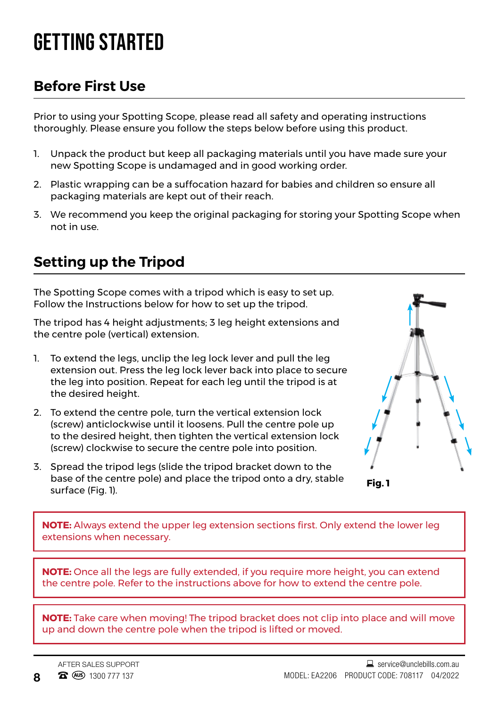### **GETTING STARTED**

#### **Before First Use**

Prior to using your Spotting Scope, please read all safety and operating instructions thoroughly. Please ensure you follow the steps below before using this product.

- 1. Unpack the product but keep all packaging materials until you have made sure your new Spotting Scope is undamaged and in good working order.
- 2. Plastic wrapping can be a suffocation hazard for babies and children so ensure all packaging materials are kept out of their reach.
- 3. We recommend you keep the original packaging for storing your Spotting Scope when not in use.

### **Setting up the Tripod**

The Spotting Scope comes with a tripod which is easy to set up. Follow the Instructions below for how to set up the tripod.

The tripod has 4 height adjustments; 3 leg height extensions and the centre pole (vertical) extension.

- 1. To extend the legs, unclip the leg lock lever and pull the leg extension out. Press the leg lock lever back into place to secure the leg into position. Repeat for each leg until the tripod is at the desired height.
- 2. To extend the centre pole, turn the vertical extension lock (screw) anticlockwise until it loosens. Pull the centre pole up to the desired height, then tighten the vertical extension lock (screw) clockwise to secure the centre pole into position.
- 3. Spread the tripod legs (slide the tripod bracket down to the base of the centre pole) and place the tripod onto a dry, stable surface (Fig. 1).



**Fig. 1**

**NOTE:** Always extend the upper leg extension sections first. Only extend the lower leg extensions when necessary.

**NOTE:** Once all the legs are fully extended, if you require more height, you can extend the centre pole. Refer to the instructions above for how to extend the centre pole.

**NOTE:** Take care when moving! The tripod bracket does not clip into place and will move up and down the centre pole when the tripod is lifted or moved.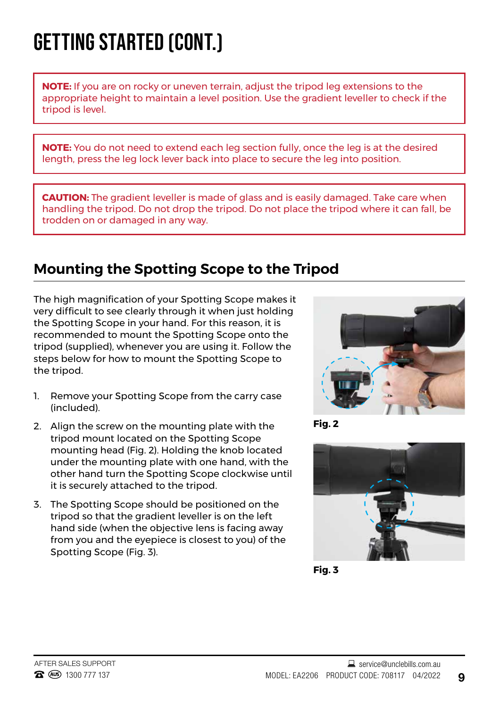## **GETTING STARTED (CONT.)**

**NOTE:** If you are on rocky or uneven terrain, adjust the tripod leg extensions to the appropriate height to maintain a level position. Use the gradient leveller to check if the tripod is level.

**NOTE:** You do not need to extend each leg section fully, once the leg is at the desired length, press the leg lock lever back into place to secure the leg into position.

**CAUTION:** The gradient leveller is made of glass and is easily damaged. Take care when handling the tripod. Do not drop the tripod. Do not place the tripod where it can fall, be trodden on or damaged in any way.

#### **Mounting the Spotting Scope to the Tripod**

The high magnification of your Spotting Scope makes it very difficult to see clearly through it when just holding the Spotting Scope in your hand. For this reason, it is recommended to mount the Spotting Scope onto the tripod (supplied), whenever you are using it. Follow the steps below for how to mount the Spotting Scope to the tripod.

- 1. Remove your Spotting Scope from the carry case (included).
- 2. Align the screw on the mounting plate with the tripod mount located on the Spotting Scope mounting head (Fig. 2). Holding the knob located under the mounting plate with one hand, with the other hand turn the Spotting Scope clockwise until it is securely attached to the tripod.
- 3. The Spotting Scope should be positioned on the tripod so that the gradient leveller is on the left hand side (when the objective lens is facing away from you and the eyepiece is closest to you) of the Spotting Scope (Fig. 3).



**Fig. 2**



**Fig. 3**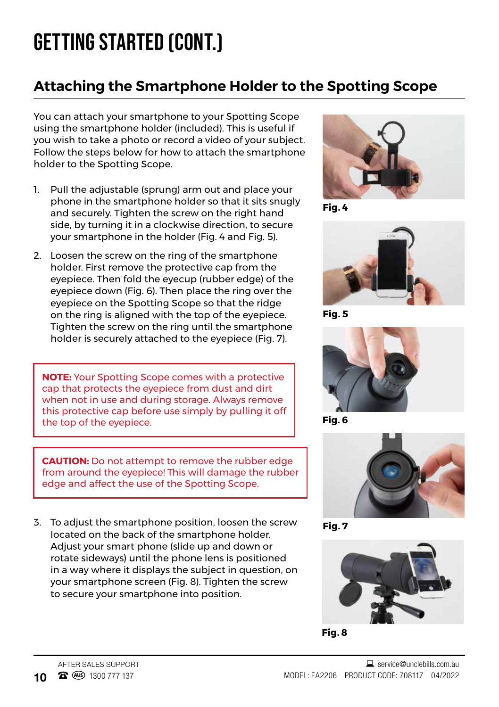## **GETTING STARTED (CONT.)**

#### **Attaching the Smartphone Holder to the Spotting Scope**

You can attach your smartphone to your Spotting Scope using the smartphone holder (included). This is useful if you wish to take a photo or record a video of your subject. Follow the steps below for how to attach the smartphone holder to the Spotting Scope.

- 1. Pull the adjustable (sprung) arm out and place your phone in the smartphone holder so that it sits snugly and securely. Tighten the screw on the right hand side, by turning it in a clockwise direction, to secure your smartphone in the holder (Fig. 4 and Fig. 5).
- 2. Loosen the screw on the ring of the smartphone holder. First remove the protective cap from the eyepiece. Then fold the eyecup (rubber edge) of the eyepiece down (Fig. 6). Then place the ring over the eyepiece on the Spotting Scope so that the ridge on the ring is aligned with the top of the eyepiece. Tighten the screw on the ring until the smartphone holder is securely attached to the eyepiece (Fig. 7).

**NOTE:** Your Spotting Scope comes with a protective cap that protects the eyepiece from dust and dirt when not in use and during storage. Always remove this protective cap before use simply by pulling it off the top of the eyepiece.

**CAUTION:** Do not attempt to remove the rubber edge from around the eyepiece! This will damage the rubber edge and affect the use of the Spotting Scope.

3. To adjust the smartphone position, loosen the screw located on the back of the smartphone holder. Adjust your smart phone (slide up and down or rotate sideways) until the phone lens is positioned in a way where it displays the subject in question, on your smartphone screen (Fig. 8). Tighten the screw to secure your smartphone into position.



**Fig. 4**



**Fig. 5**



**Fig. 6**



**Fig. 7**



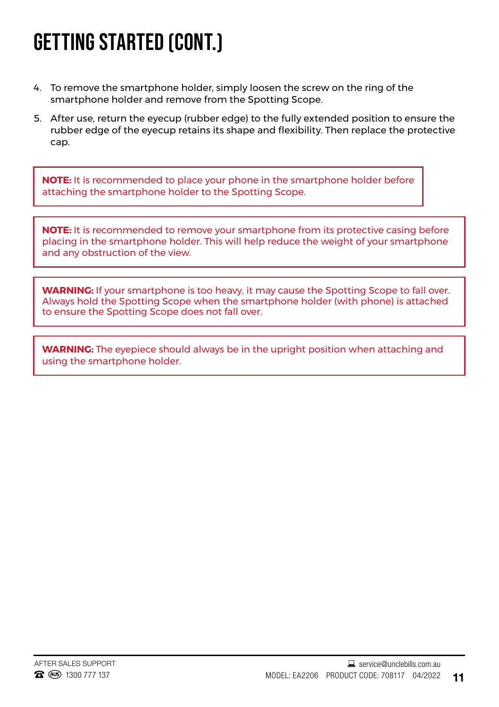### **GETTING STARTED (CONT.)**

- 4. To remove the smartphone holder, simply loosen the screw on the ring of the smartphone holder and remove from the Spotting Scope.
- 5. After use, return the eyecup (rubber edge) to the fully extended position to ensure the rubber edge of the eyecup retains its shape and flexibility. Then replace the protective cap.

**NOTE:** It is recommended to place your phone in the smartphone holder before attaching the smartphone holder to the Spotting Scope.

**NOTE:** It is recommended to remove your smartphone from its protective casing before placing in the smartphone holder. This will help reduce the weight of your smartphone and any obstruction of the view.

**WARNING:** If your smartphone is too heavy, it may cause the Spotting Scope to fall over. Always hold the Spotting Scope when the smartphone holder (with phone) is attached to ensure the Spotting Scope does not fall over.

**WARNING:** The eyepiece should always be in the upright position when attaching and using the smartphone holder.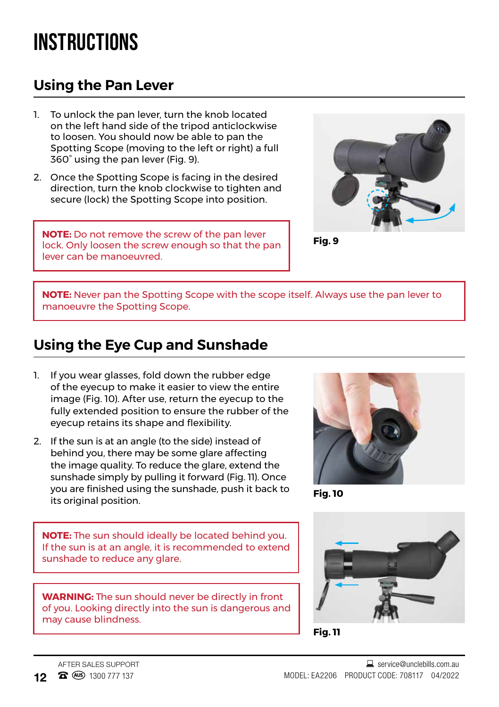### **INSTRUCTIONS**

#### **Using the Pan Lever**

- 1. To unlock the pan lever, turn the knob located on the left hand side of the tripod anticlockwise to loosen. You should now be able to pan the Spotting Scope (moving to the left or right) a full 360° using the pan lever (Fig. 9).
- 2. Once the Spotting Scope is facing in the desired direction, turn the knob clockwise to tighten and secure (lock) the Spotting Scope into position.

**NOTE:** Do not remove the screw of the pan lever lock. Only loosen the screw enough so that the pan lever can be manoeuvred.



**Fig. 9**

**NOTE:** Never pan the Spotting Scope with the scope itself. Always use the pan lever to manoeuvre the Spotting Scope.

#### **Using the Eye Cup and Sunshade**

- 1. If you wear glasses, fold down the rubber edge of the eyecup to make it easier to view the entire image (Fig. 10). After use, return the eyecup to the fully extended position to ensure the rubber of the eyecup retains its shape and flexibility.
- 2. If the sun is at an angle (to the side) instead of behind you, there may be some glare affecting the image quality. To reduce the glare, extend the sunshade simply by pulling it forward (Fig. 11). Once you are finished using the sunshade, push it back to its original position.

**Fig. 10**

**NOTE:** The sun should ideally be located behind you. If the sun is at an angle, it is recommended to extend sunshade to reduce any glare.



**Fig. 11**

**WARNING:** The sun should never be directly in front of you. Looking directly into the sun is dangerous and may cause blindness.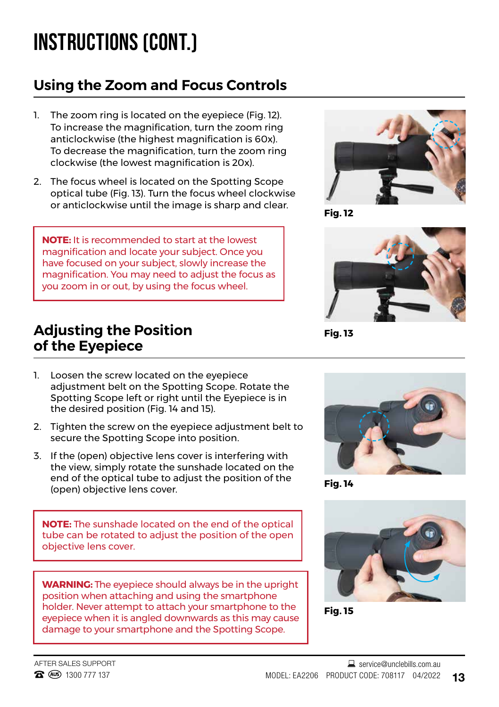## **INSTRUCTIONS (CONT.)**

### **Using the Zoom and Focus Controls**

- 1. The zoom ring is located on the eyepiece (Fig. 12). To increase the magnification, turn the zoom ring anticlockwise (the highest magnification is 60x). To decrease the magnification, turn the zoom ring clockwise (the lowest magnification is 20x).
- 2. The focus wheel is located on the Spotting Scope optical tube (Fig. 13). Turn the focus wheel clockwise or anticlockwise until the image is sharp and clear.

**NOTE:** It is recommended to start at the lowest magnification and locate your subject. Once you have focused on your subject, slowly increase the magnification. You may need to adjust the focus as you zoom in or out, by using the focus wheel.

#### **Adjusting the Position of the Eyepiece**



**Fig. 12**



**Fig. 13**

- 1. Loosen the screw located on the eyepiece adjustment belt on the Spotting Scope. Rotate the Spotting Scope left or right until the Eyepiece is in the desired position (Fig. 14 and 15).
- 2. Tighten the screw on the eyepiece adjustment belt to secure the Spotting Scope into position.
- 3. If the (open) objective lens cover is interfering with the view, simply rotate the sunshade located on the end of the optical tube to adjust the position of the (open) objective lens cover.

**NOTE:** The sunshade located on the end of the optical tube can be rotated to adjust the position of the open objective lens cover.

**WARNING:** The eyepiece should always be in the upright position when attaching and using the smartphone holder. Never attempt to attach your smartphone to the eyepiece when it is angled downwards as this may cause damage to your smartphone and the Spotting Scope.



**Fig. 14**



**Fig. 15**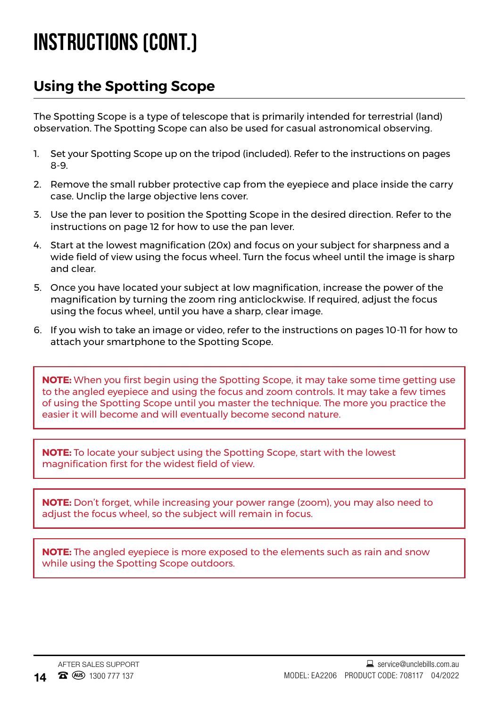### **INSTRUCTIONS (CONT.)**

#### **Using the Spotting Scope**

The Spotting Scope is a type of telescope that is primarily intended for terrestrial (land) observation. The Spotting Scope can also be used for casual astronomical observing.

- 1. Set your Spotting Scope up on the tripod (included). Refer to the instructions on pages 8-9.
- 2. Remove the small rubber protective cap from the eyepiece and place inside the carry case. Unclip the large objective lens cover.
- 3. Use the pan lever to position the Spotting Scope in the desired direction. Refer to the instructions on page 12 for how to use the pan lever.
- 4. Start at the lowest magnification (20x) and focus on your subject for sharpness and a wide field of view using the focus wheel. Turn the focus wheel until the image is sharp and clear.
- 5. Once you have located your subject at low magnification, increase the power of the magnification by turning the zoom ring anticlockwise. If required, adjust the focus using the focus wheel, until you have a sharp, clear image.
- 6. If you wish to take an image or video, refer to the instructions on pages 10-11 for how to attach your smartphone to the Spotting Scope.

**NOTE:** When you first begin using the Spotting Scope, it may take some time getting use to the angled eyepiece and using the focus and zoom controls. It may take a few times of using the Spotting Scope until you master the technique. The more you practice the easier it will become and will eventually become second nature.

**NOTE:** To locate your subject using the Spotting Scope, start with the lowest magnification first for the widest field of view.

**NOTE:** Don't forget, while increasing your power range (zoom), you may also need to adjust the focus wheel, so the subject will remain in focus.

**NOTE:** The angled eyepiece is more exposed to the elements such as rain and snow while using the Spotting Scope outdoors.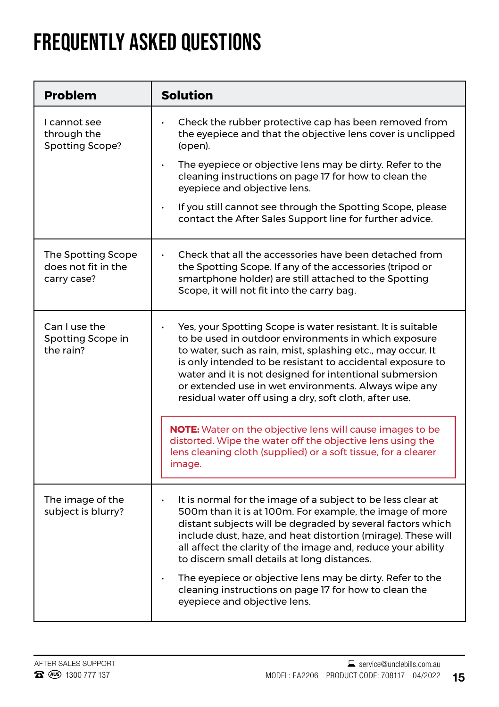### **FREQUENTLY ASKED QUESTIONS**

| <b>Problem</b>                                           | <b>Solution</b>                                                                                                                                                                                                                                                                                                                                                                                                                                                                                                           |
|----------------------------------------------------------|---------------------------------------------------------------------------------------------------------------------------------------------------------------------------------------------------------------------------------------------------------------------------------------------------------------------------------------------------------------------------------------------------------------------------------------------------------------------------------------------------------------------------|
| I cannot see<br>through the<br>Spotting Scope?           | Check the rubber protective cap has been removed from<br>the eyepiece and that the objective lens cover is unclipped<br>(open).<br>The eyepiece or objective lens may be dirty. Refer to the<br>cleaning instructions on page 17 for how to clean the<br>eyepiece and objective lens.<br>If you still cannot see through the Spotting Scope, please<br>contact the After Sales Support line for further advice.                                                                                                           |
| The Spotting Scope<br>does not fit in the<br>carry case? | Check that all the accessories have been detached from<br>٠<br>the Spotting Scope. If any of the accessories (tripod or<br>smartphone holder) are still attached to the Spotting<br>Scope, it will not fit into the carry bag.                                                                                                                                                                                                                                                                                            |
| Can I use the<br>Spotting Scope in<br>the rain?          | Yes, your Spotting Scope is water resistant. It is suitable<br>to be used in outdoor environments in which exposure<br>to water, such as rain, mist, splashing etc., may occur. It<br>is only intended to be resistant to accidental exposure to<br>water and it is not designed for intentional submersion<br>or extended use in wet environments. Always wipe any<br>residual water off using a dry, soft cloth, after use.                                                                                             |
|                                                          | <b>NOTE:</b> Water on the objective lens will cause images to be<br>distorted. Wipe the water off the objective lens using the<br>lens cleaning cloth (supplied) or a soft tissue, for a clearer<br>image.                                                                                                                                                                                                                                                                                                                |
| The image of the<br>subject is blurry?                   | It is normal for the image of a subject to be less clear at<br>500m than it is at 100m. For example, the image of more<br>distant subjects will be degraded by several factors which<br>include dust, haze, and heat distortion (mirage). These will<br>all affect the clarity of the image and, reduce your ability<br>to discern small details at long distances.<br>The eyepiece or objective lens may be dirty. Refer to the<br>cleaning instructions on page 17 for how to clean the<br>eyepiece and objective lens. |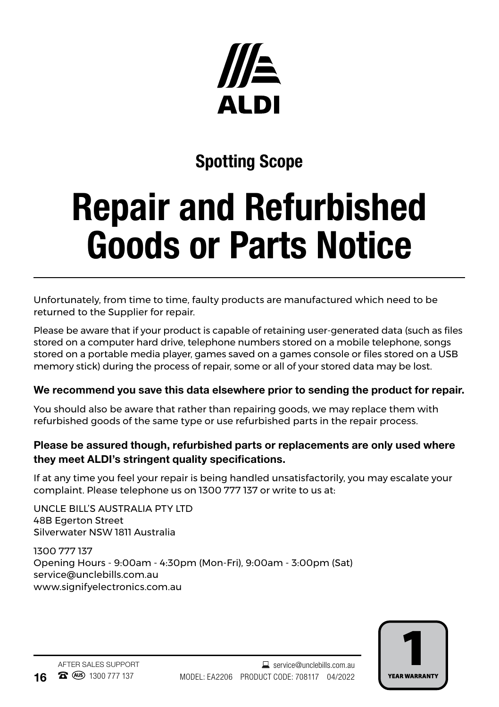

### Spotting Scope

# Repair and Refurbished Goods or Parts Notice

Unfortunately, from time to time, faulty products are manufactured which need to be returned to the Supplier for repair.

Please be aware that if your product is capable of retaining user-generated data (such as files stored on a computer hard drive, telephone numbers stored on a mobile telephone, songs stored on a portable media player, games saved on a games console or files stored on a USB memory stick) during the process of repair, some or all of your stored data may be lost.

#### We recommend you save this data elsewhere prior to sending the product for repair.

You should also be aware that rather than repairing goods, we may replace them with refurbished goods of the same type or use refurbished parts in the repair process.

#### Please be assured though, refurbished parts or replacements are only used where they meet ALDI's stringent quality specifications.

If at any time you feel your repair is being handled unsatisfactorily, you may escalate your complaint. Please telephone us on 1300 777 137 or write to us at:

UNCLE BILL'S AUSTRALIA PTY LTD 48B Egerton Street Silverwater NSW 1811 Australia

1300 777 137 Opening Hours - 9:00am - 4:30pm (Mon-Fri), 9:00am - 3:00pm (Sat) service@unclebills.com.au www.signifyelectronics.com.au

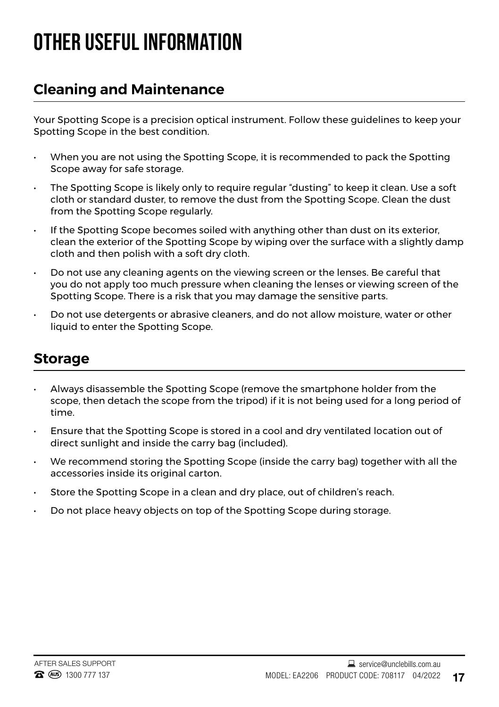### **OTHER USEFUL INFORMATION**

#### **Cleaning and Maintenance**

Your Spotting Scope is a precision optical instrument. Follow these guidelines to keep your Spotting Scope in the best condition.

- When you are not using the Spotting Scope, it is recommended to pack the Spotting Scope away for safe storage.
- The Spotting Scope is likely only to require regular "dusting" to keep it clean. Use a soft cloth or standard duster, to remove the dust from the Spotting Scope. Clean the dust from the Spotting Scope regularly.
- If the Spotting Scope becomes soiled with anything other than dust on its exterior, clean the exterior of the Spotting Scope by wiping over the surface with a slightly damp cloth and then polish with a soft dry cloth.
- Do not use any cleaning agents on the viewing screen or the lenses. Be careful that you do not apply too much pressure when cleaning the lenses or viewing screen of the Spotting Scope. There is a risk that you may damage the sensitive parts.
- Do not use detergents or abrasive cleaners, and do not allow moisture, water or other liquid to enter the Spotting Scope.

#### **Storage**

- Always disassemble the Spotting Scope (remove the smartphone holder from the scope, then detach the scope from the tripod) if it is not being used for a long period of time.
- Ensure that the Spotting Scope is stored in a cool and dry ventilated location out of direct sunlight and inside the carry bag (included).
- We recommend storing the Spotting Scope (inside the carry bag) together with all the accessories inside its original carton.
- Store the Spotting Scope in a clean and dry place, out of children's reach.
- Do not place heavy objects on top of the Spotting Scope during storage.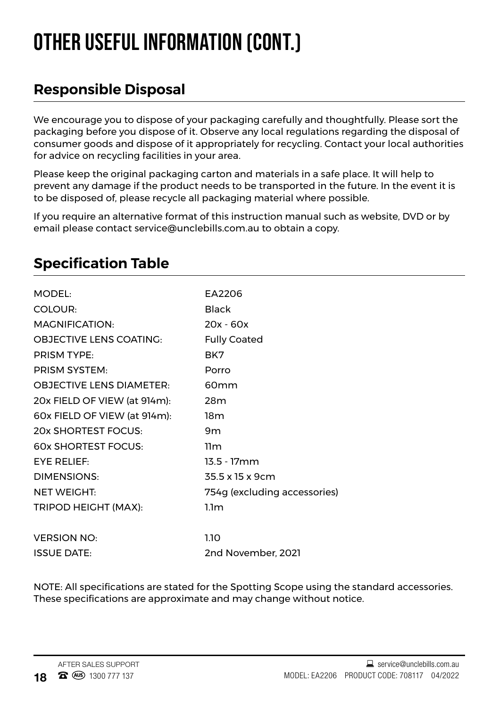## **OTHER USEFUL INFORMATION (CONT.)**

#### **Responsible Disposal**

We encourage you to dispose of your packaging carefully and thoughtfully. Please sort the packaging before you dispose of it. Observe any local regulations regarding the disposal of consumer goods and dispose of it appropriately for recycling. Contact your local authorities for advice on recycling facilities in your area.

Please keep the original packaging carton and materials in a safe place. It will help to prevent any damage if the product needs to be transported in the future. In the event it is to be disposed of, please recycle all packaging material where possible.

If you require an alternative format of this instruction manual such as website, DVD or by email please contact service@unclebills.com.au to obtain a copy.

| EA2206                       |
|------------------------------|
| Black                        |
| $20x - 60x$                  |
| <b>Fully Coated</b>          |
| BK7                          |
| Porro                        |
| 60 <sub>mm</sub>             |
| 28m                          |
| 18m                          |
| 9m                           |
| 11m                          |
| $13.5 - 17$ mm               |
| 35.5 x 15 x 9cm              |
| 754g (excluding accessories) |
| 1.1 <sub>m</sub>             |
|                              |
| 1.10                         |
| 2nd November, 2021           |
|                              |

#### **Specification Table**

NOTE: All specifications are stated for the Spotting Scope using the standard accessories. These specifications are approximate and may change without notice.